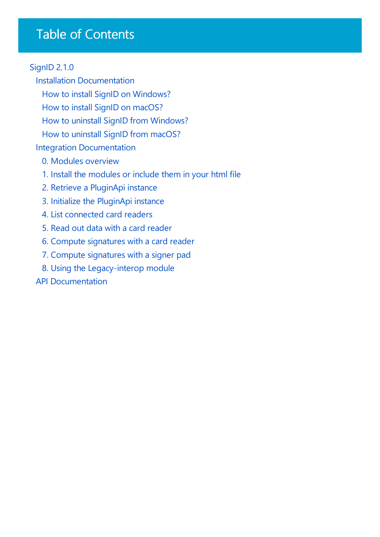## Table of Contents

### [SignID](javascript:void(0)) 2.1.0

Installation [Documentation](#page-1-0) How to install SignID on Windows? How to install SignID on macOS? How to uninstall SignID from Windows? How to uninstall SignID from macOS? Integration [Documentation](#page-8-0) 0. Modules [overview](#page-9-0) 1. Install the [modules](#page-10-0) or include them in your html file 2. Retrieve a [PluginApi](#page-11-0) instance 3. Initialize the [PluginApi](#page-12-0) instance 4. List [connected](#page-13-0) card readers 5. Read out data with a card [reader](#page-14-0) 6. Compute [signatures](#page-15-0) with a card reader 7. Compute [signatures](#page-16-0) with a signer pad 8. Using the [Legacy-interop](#page-17-0) module

API [Documentation](#page-18-0)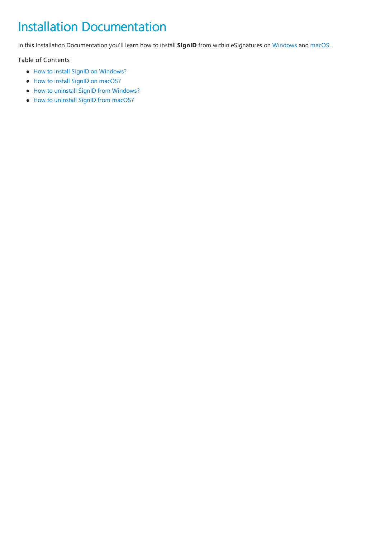# <span id="page-1-0"></span>Installation Documentation

In this Installation Documentation you'll learn how to install **SignID** from within eSignatures on [Windows](#page-2-0) and [macOS](#page-4-0).

#### Table of Contents

- How to install SignID on [Windows?](#page-2-0)
- How to install SignID on [macOS?](#page-4-0)
- How to uninstall SignID from [Windows?](#page-6-0)
- How to [uninstall](#page-7-0) SignID from macOS?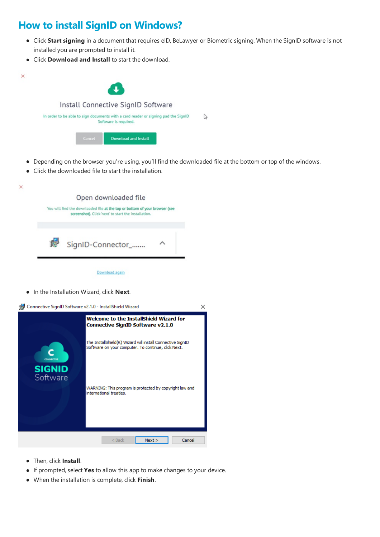### <span id="page-2-0"></span>**How to install SignID on Windows?**

- Click Start signing in a document that requires eID, BeLawyer or Biometric signing. When the SignID software is not installed you are prompted to install it.
- Click **Download and Install** to start the download.



- Depending on the browser you're using,you'll find the downloaded fileat the bottom or top of the windows.
- Click the downloaded file to start the installation.

 $\overline{\phantom{0}}$ 

|       | Open downloaded file                                                                                                                |  |
|-------|-------------------------------------------------------------------------------------------------------------------------------------|--|
|       | You will find the downloaded file at the top or bottom of your browser (see<br>screenshot). Click 'next' to start the installation. |  |
| The S | SignID-Connector_                                                                                                                   |  |

Download again

**•** In the Installation Wizard, click **Next**.



- $\bullet$  Then, click **Install**.
- If prompted, select **Yes** to allow this app to makechanges to your device.
- $\bullet$  When the installation is complete, click **Finish**.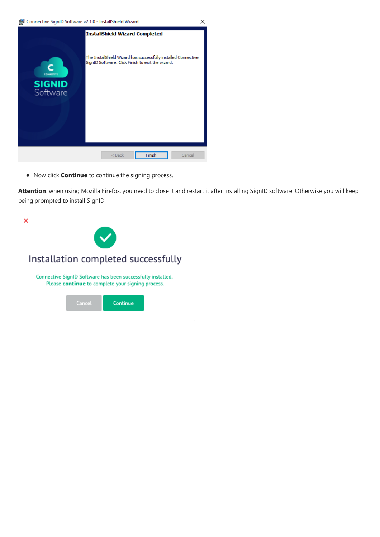$\times$ 

|                           | <b>InstallShield Wizard Completed</b>                                                                               |
|---------------------------|---------------------------------------------------------------------------------------------------------------------|
| <b>CONNECTIVE</b>         | The InstallShield Wizard has successfully installed Connective<br>SignID Software. Click Finish to exit the wizard. |
| <b>SIGNID</b><br>Software |                                                                                                                     |
|                           | Finish<br>Cancel<br>$<$ Back                                                                                        |

• Now click **Continue** to continue the signing process.

Attention: when using Mozilla Firefox, you need to close it and restart it after installing SignID software. Otherwise you will keep being prompted to install SignID.

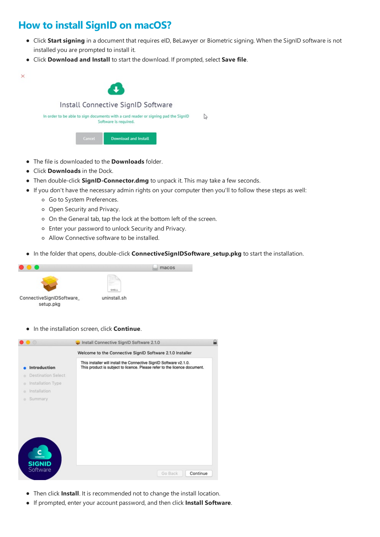### <span id="page-4-0"></span>**How to install SignID on macOS?**

- Click Start signing in a document that requires eID, BeLawyer or Biometric signing. When the SignID software is not installed you are prompted to install it.
- Click **Download and Install** to start the download. If prompted, select **Save file**.



- The file is downloaded to the **Downloads** folder.
- Click **Downloads** in the Dock.
- **Then double-click SignID-Connector.dmg** to unpack it. This may take a few seconds.
- If you don't have the necessary admin rights on your computer then you'll to follow these steps as well:
	- Go to System Preferences.
	- o Open Security and Privacy.
	- o On the General tab, tap the lock at the bottom left of the screen.
	- Enter your password to unlock Security and Privacy.
	- o Allow Connective software to be installed.
- **In the folder that opens, double-click ConnectiveSignIDSoftware\_setup.pkg** to start the installation.



 $\bullet$  In the installation screen, click **Continue**.



- Then click Install. It is recommended not to change the install location.
- If prompted,enter your account password,and then click **Install Software**.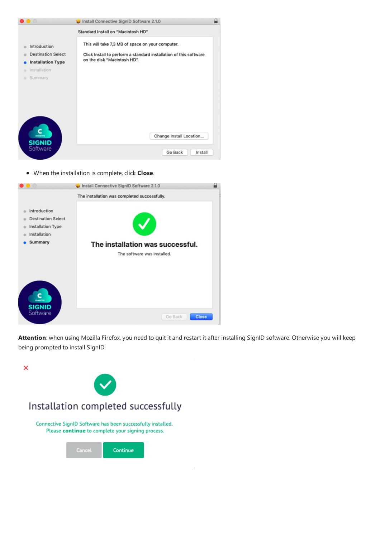| $\circ$                                                               | Install Connective SignID Software 2.1.0                                                                                                                                                   |  |
|-----------------------------------------------------------------------|--------------------------------------------------------------------------------------------------------------------------------------------------------------------------------------------|--|
| Introduction<br><b>Destination Select</b><br><b>Installation Type</b> | Standard Install on "Macintosh HD"<br>This will take 7,3 MB of space on your computer.<br>Click Install to perform a standard installation of this software<br>on the disk "Macintosh HD". |  |
| Installation<br>۰<br>Summary<br>۰                                     |                                                                                                                                                                                            |  |
| <b>SIGNID</b><br>Software                                             | Change Install Location<br>Go Back<br>Install                                                                                                                                              |  |

 $\bullet$  When the installation is complete, click **Close**.

|                                                                                           | Install Connective SignID Software 2.1.0                                                                        |  |
|-------------------------------------------------------------------------------------------|-----------------------------------------------------------------------------------------------------------------|--|
| Introduction<br><b>Destination Select</b><br>Installation Type<br>Installation<br>Summary | The installation was completed successfully.<br>The installation was successful.<br>The software was installed. |  |
| <b>SIGNID</b><br>Software                                                                 | Close<br>Go Back                                                                                                |  |

Attention: when using Mozilla Firefox, you need to quit it and restart it after installing SignID software. Otherwise you will keep being prompted to install SignID.

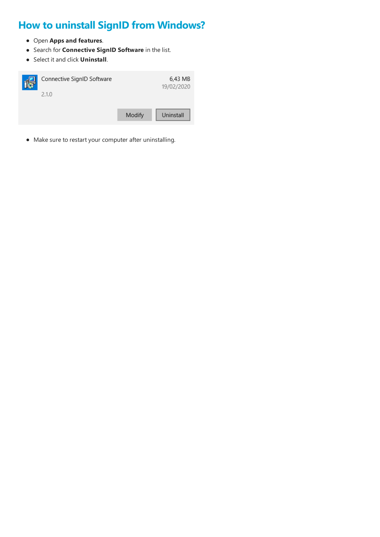## <span id="page-6-0"></span>**How to uninstall SignID from Windows?**

- Open **Apps and features**.
- Search for **Connective SignID Software** in thelist.
- Select itand click **Uninstall**.



 $\bullet$  Make sure to restart your computer after uninstalling.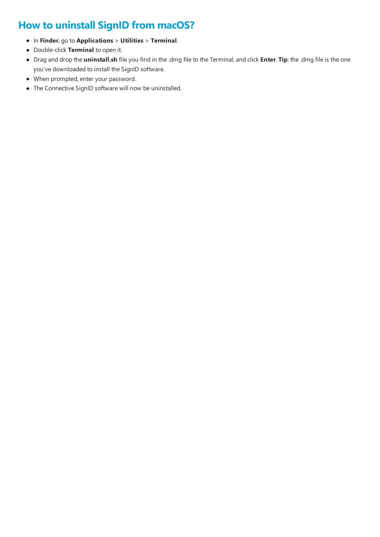### <span id="page-7-0"></span>**How to uninstall SignID from macOS?**

- In **Finder**, go to **Applications** > **Utilities** > **Terminal**.
- Double-click **Terminal** to open it.
- Drag and drop the **uninstall.sh** fileyou find in the.dmg fileto theTerminal,and click **Enter**. **Tip**: the.dmg fileis the one you've downloaded to install the SignID software.
- When prompted,enter your password.
- The Connective SignID software will now be uninstalled.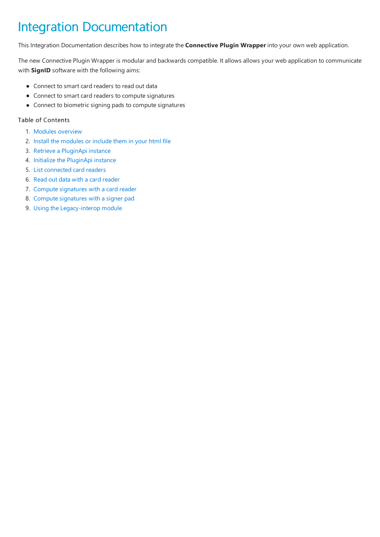# <span id="page-8-0"></span>Integration Documentation

This Integration Documentation describes how to integrate the **Connective Plugin Wrapper** into your own web application.

The new Connective Plugin Wrapper is modular and backwards compatible. It allows allows your web application to communicate with **SignID** software with the following aims:

- Connect to smart card readers to read out data
- Connect to smart card readers to compute signatures
- Connect to biometric signing pads to compute signatures

#### Table of Contents

- 1. Modules [overview](#page-9-0)
- 2. Install the modules or include them in your html file
- 3. Retrieve a PluginApi instance
- 4. Initialize the PluginApi instance
- 5. List [connected](#page-13-0) card readers
- 6. Read out data with a card [reader](#page-14-0)
- 7. Compute signatures with a card reader
- 8. Compute signatures with a signer pad
- 9. Using the Legacy-interop module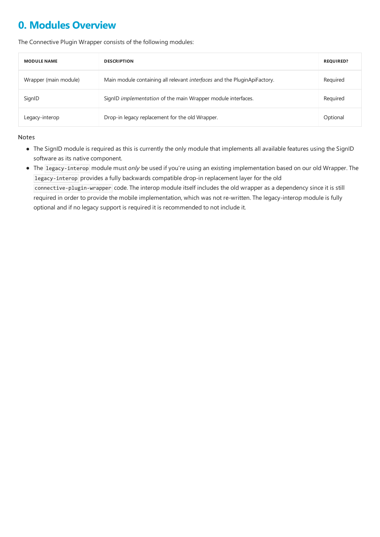### <span id="page-9-0"></span>**0. Modules Overview**

The Connective Plugin Wrapper consists of the following modules:

| <b>MODULE NAME</b>    | <b>DESCRIPTION</b>                                                              | <b>REQUIRED?</b> |
|-----------------------|---------------------------------------------------------------------------------|------------------|
| Wrapper (main module) | Main module containing all relevant <i>interfaces</i> and the PluginApiFactory. | Required         |
| SignID                | SignID implementation of the main Wrapper module interfaces.                    | Required         |
| Legacy-interop        | Drop-in legacy replacement for the old Wrapper.                                 | Optional         |

#### Notes

- The SignID module is required as this is currently the only module that implements all available features using the SignID software as its native component.
- The legacy-interop module must*only* be used if you're using an existing implementation based on our old Wrapper.The legacy-interop provides a fully backwards compatible drop-in replacement layer for the old connective-plugin-wrapper code. The interop module itself includes the old wrapper as a dependency since it is still required in order to provide the mobile implementation, which was not re-written. The legacy-interop module is fully optional and if no legacy support is required it is recommended to not include it.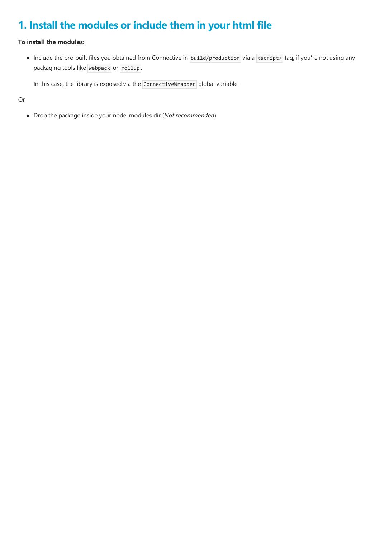### <span id="page-10-0"></span>**1. Install the modules or include them in your html file**

#### **To install the modules:**

• Include the pre-built files you obtained from Connective in build/production via a <script> tag, if you're not using any packaging tools like webpack or rollup .

In this case, the library is exposed via the ConnectiveWrapper global variable.

Or

Drop the packageinsideyour node\_modules dir (*Not recommended*).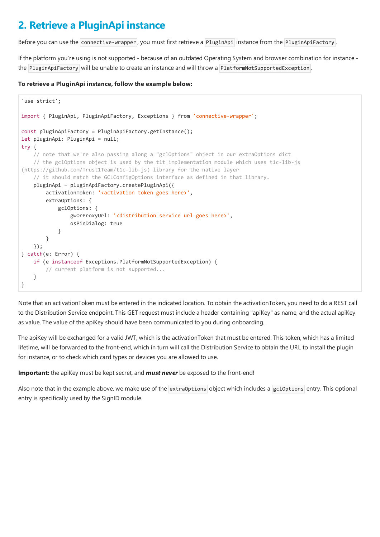### <span id="page-11-0"></span>**2. Retrieve a PluginApi instance**

Before you can use the connective-wrapper, you must first retrieve a PluginApi instance from the PluginApiFactory.

If the platform you're using is not supported - because of an outdated Operating System and browser combination for instancethe PluginApiFactory will be unable to create an instance and will throw a PlatformNotSupportedException.

#### **To retrieve a PluginApi instance, follow the example below:**

```
'use strict';
import { PluginApi, PluginApiFactory, Exceptions } from 'connective-wrapper';
const pluginApiFactory = PluginApiFactory.getInstance();
let pluginApi: PluginApi = null;
try {
   // note that we're also passing along a "gclOptions" object in our extraOptions dict
   // the gclOptions object is used by the t1t implementation module which uses t1c-lib-js
(https://github.com/Trust1Team/t1c-lib-js) library for the native layer
   // it should match the GCLConfigOptions interface as defined in that library.
   pluginApi = pluginApiFactory.createPluginApi({
       activationToken: '<activation token goes here>',
       extraOptions: {
            gclOptions: {
                gwOrProxyUrl: '<distribution service url goes here>',
                osPinDialog: true
            }
        }
   });
} catch(e: Error) {
   if (e instanceof Exceptions.PlatformNotSupportedException) {
        // current platform is not supported...
   }
}
```
Note that an activationToken must be entered in the indicated location. To obtain the activationToken, you need to do a REST call to the Distribution Service endpoint. This GET request must include a header containing "apiKey" as name, and the actual apiKey as value. The value of the apiKey should have been communicated to you during onboarding.

The apiKey will be exchanged for a valid JWT, which is the activationToken that must be entered. This token, which has a limited lifetime, will be forwarded to the front-end, which in turn will call the Distribution Service to obtain the URL to install the plugin for instance, or to check which card types or devices you are allowed to use.

**Important:** the apiKey must be kept secret, and **must never** be exposed to the front-end!

Also note that in the example above, we make use of the extraOptions object which includes a gc10ptions entry. This optional entry is specifically used by the SignID module.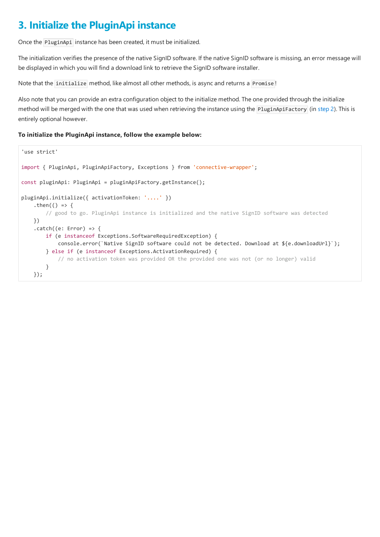### <span id="page-12-0"></span>**3. Initialize the PluginApi instance**

Once the PluginApi instance has been created, it must be initialized.

The initialization verifies the presence of the native SignID software. If the native SignID software is missing, an error message will be displayed in which you will find a download link to retrieve the SignID software installer.

Note that the initialize method, like almost all other methods, is async and returns a Promise!

Also note that you can provide an extra configuration object to the initialize method. The one provided through the initialize method will be merged with the one that was used when retrieving the instance using the PluginApiFactory (in [step](#page-11-0) 2). This is entirely optional however.

#### **To initialize the PluginApi instance, follow the example below:**

```
'use strict'
import { PluginApi, PluginApiFactory, Exceptions } from 'connective-wrapper';
const pluginApi: PluginApi = pluginApiFactory.getInstance();
pluginApi.initialize({ activationToken: '....' })
    .then(() => {
        // good to go. PluginApi instance is initialized and the native SignID software was detected
    })
    . \text{catch}((e: Error) \Rightarrowif (e instanceof Exceptions.SoftwareRequiredException) {
            console.error(`Native SignID software could not be detected. Download at ${e.downloadUrl}`);
        } else if (e instanceof Exceptions.ActivationRequired) {
            // no activation token was provided OR the provided one was not (or no longer) valid
        }
    });
```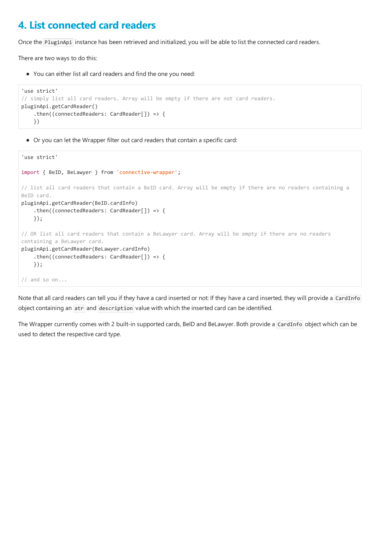### <span id="page-13-0"></span>**4.List connected card readers**

Once the PluginApi instance has been retrieved and initialized, you will be able to list the connected card readers.

There are two ways to do this:

• You can either list all card readers and find the one you need:

```
'use strict'
// simply list all card readers. Array will be empty if there are not card readers.
pluginApi.getCardReader()
    .then((connectedReaders: CardReader[]) => {
    })
```
Or you can let the Wrapper filter out card readers that contain a specific card:

```
'use strict'
import { BeID, BeLawyer } from 'connective-wrapper';
// list all card readers that contain a BeID card. Array will be empty if there are no readers containing a
BeID card.
pluginApi.getCardReader(BeID.cardInfo)
    .then((connectedReaders: CardReader[]) => {
   });
// OR list all card readers that contain a BeLawyer card. Array will be empty if there are no readers
containing a BeLawyer card.
pluginApi.getCardReader(BeLawyer.cardInfo)
    .then((connectedReaders: CardReader[]) => {
   });
// and so on...
```
Note that all card readers can tell you if they have a card inserted or not: If they have a card inserted, they will provide a CardInfo object containing an atr and description value with which the inserted card can be identified.

The Wrapper currently comes with 2 built-in supported cards, BeID and BeLawyer. Both provide a CardInfo object which can be used to detect the respective card type.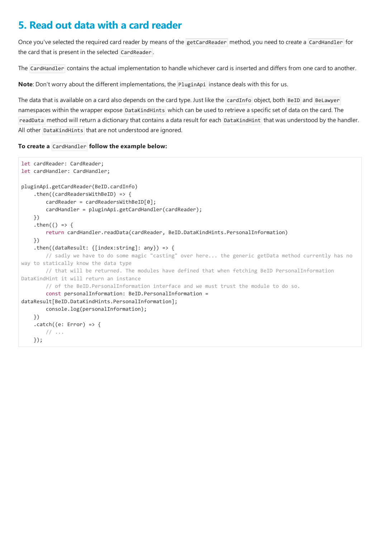### <span id="page-14-0"></span>**5. Read out data with a card reader**

Once you've selected the required card reader by means of the getCardReader method, you need to create a CardHandler for the card that is present in the selected CardReader.

The CardHandler contains the actual implementation to handle whichever card is inserted and differs from one card to another.

**Note:** Don't worry about the different implementations, the PluginApi instance deals with this for us.

The data that is available on a card also depends on the card type. Just like the cardInfo object, both BeID and BeLawyer namespaces within the wrapper expose DataKindHints which can be used to retrieve a specific set of data on the card. The readData method will return a dictionary that contains a data result for each DataKindHint that was understood by the handler. All other DataKindHints that are not understood are ignored.

#### **To create a** CardHandler **follow the example below:**

```
let cardReader: CardReader;
let cardHandler: CardHandler;
pluginApi.getCardReader(BeID.cardInfo)
    .then((cardReadersWithBeID) => {
        cardReader = cardReadersWithBeID[0];
        cardHandler = pluginApi.getCardHandler(cardReader);
    })
    .then(() => {
        return cardHandler.readData(cardReader, BeID.DataKindHints.PersonalInformation)
    })
    .then((dataResult: {[index:string]: any}) => {
        // sadly we have to do some magic "casting" over here... the generic getData method currently has no
way to statically know the data type
       // that will be returned. The modules have defined that when fetching BeID PersonalInformation
DataKindHint it will return an instance
        // of the BeID.PersonalInformation interface and we must trust the module to do so.
        const personalInformation: BeID.PersonalInformation =
dataResult[BeID.DataKindHints.PersonalInformation];
        console.log(personalInformation);
    })
    . \text{catch}((e: Error) \Rightarrow// \dots});
```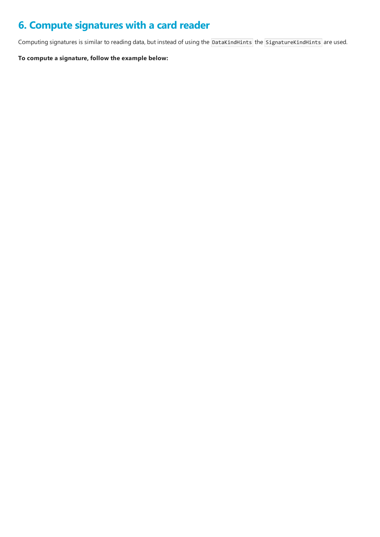### <span id="page-15-0"></span>**6. Compute signatures with a card reader**

Computing signatures is similar to reading data, but instead of using the DataKindHints the SignatureKindHints are used.

**To compute a signature, follow the example below:**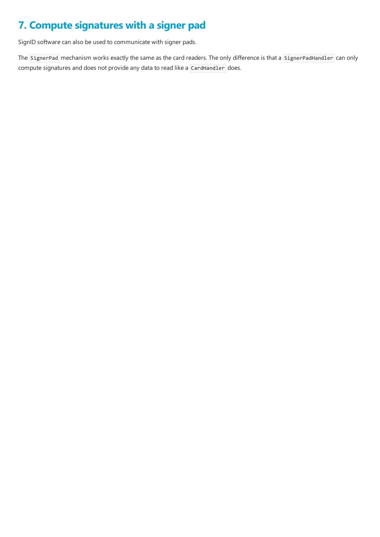### <span id="page-16-0"></span>**7. Compute signatures with a signer pad**

SignID software can also be used to communicate with signer pads.

The SignerPad mechanism works exactly the same as the card readers. The only difference is that a SignerPadHandler can only compute signatures and does not provide any data to read like a CardHandler does.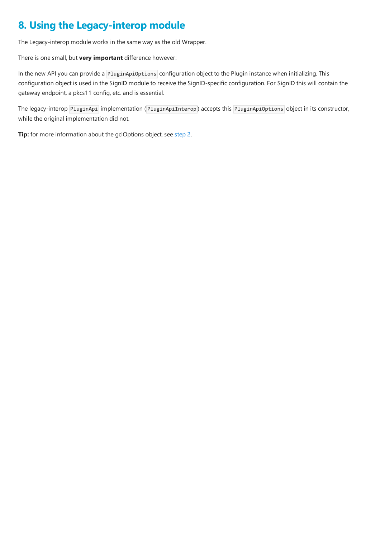### <span id="page-17-0"></span>**8. Using the Legacy-interop module**

The Legacy-interop module works in the same way as the old Wrapper.

There is one small, but **very important** difference however:

In the new API you can provide a PluginApiOptions configuration object to the Plugin instance when initializing. This configuration object is used in the SignID module to receive the SignID-specific configuration. For SignID this will contain the gateway endpoint, a pkcs11 config, etc. and is essential.

The legacy-interop PluginApi implementation (PluginApiInterop) accepts this PluginApiOptions object in its constructor, while the original implementation did not.

**Tip:** for more information about the gclOptions object, see [step](#page-11-0) 2.